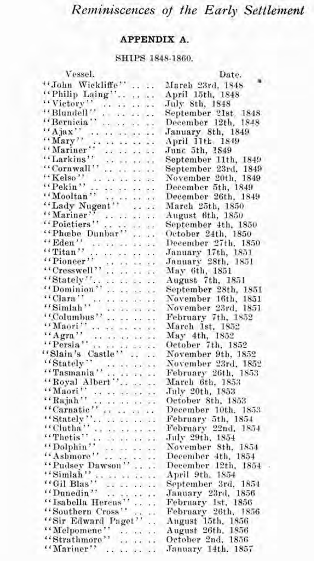# *Refniniscences of the Early Settleinent*

## **APPENDIX A**.

### SHIPS 1848-1860.

| <b>DITITO 1040-1000</b>                                                                                                                                    |                                          |  |
|------------------------------------------------------------------------------------------------------------------------------------------------------------|------------------------------------------|--|
| Vessel.                                                                                                                                                    | Date.                                    |  |
| "John Wickliffe"                                                                                                                                           | March 23rd, 1848                         |  |
| "Philip Laing"                                                                                                                                             | April 15th, 1848                         |  |
|                                                                                                                                                            | July 8th, 1848                           |  |
|                                                                                                                                                            | September 21st 1848                      |  |
| "Blundell"<br>"Bernicia"                                                                                                                                   | December 12th, 1848                      |  |
| $``$ Ajax''<br>''Mary''                                                                                                                                    | January 8th, 1849                        |  |
|                                                                                                                                                            | April 11th, 1849                         |  |
|                                                                                                                                                            | June 5th, 1849                           |  |
| "Mariner"<br>"Larkins"                                                                                                                                     | September 11th, 1849                     |  |
|                                                                                                                                                            | September 23rd, 1849                     |  |
|                                                                                                                                                            | November 20th, 1849                      |  |
| "Kelso"<br>"Pekin"<br>"Mooltan"<br>"Lady Nugent"                                                                                                           | December 5th, 1849                       |  |
|                                                                                                                                                            | December 26th, 1849                      |  |
|                                                                                                                                                            | March 25th, 1850                         |  |
|                                                                                                                                                            | August 6th, 1850                         |  |
| "Mariner"<br>"Poietiers"<br>"Phæbe Dunbar"                                                                                                                 | September 4th, 1850                      |  |
|                                                                                                                                                            | October 24th, 1850                       |  |
| "Eden"                                                                                                                                                     | December 27th, 1850                      |  |
|                                                                                                                                                            | January 17th, 1851                       |  |
|                                                                                                                                                            |                                          |  |
|                                                                                                                                                            | January 28th, 1851<br>May 6th, 1851      |  |
|                                                                                                                                                            | August 7th, 1851                         |  |
| $\begin{array}{l}\n\text{``Pitan''}\n\text{``Pioneer''}\n\text{``Cresswell''}\n\text{``Cresswell''}\n\text{``Stately''}\n\text{``Dominian''}\n\end{array}$ | September 28th, 1851                     |  |
| $\cdots$ Clara'', $\cdots$ $\cdots$ $\cdots$                                                                                                               | November 16th, 1851                      |  |
|                                                                                                                                                            | November 23rd, 1851                      |  |
|                                                                                                                                                            | February 7th, 1852                       |  |
|                                                                                                                                                            | March 1st, 1852                          |  |
|                                                                                                                                                            | May 4th, 1852                            |  |
| $\begin{array}{l} \text{``Agra''} \\ \text{``Persia''} \\ \text{``Slain's Castle''} \\ \text{``Statale''} \end{array}$                                     | October 7th, 1852                        |  |
|                                                                                                                                                            | November 9th, 1852                       |  |
| "Stately"<br>"Tasmania"<br>"Royal Albert"<br>"Maori"<br>"Rajah"                                                                                            | November 23rd, 1852                      |  |
|                                                                                                                                                            | February 26th, 1853                      |  |
|                                                                                                                                                            | March 6th, 1853                          |  |
|                                                                                                                                                            | July 20th, 1853                          |  |
|                                                                                                                                                            | October 8th, 1853                        |  |
|                                                                                                                                                            | December 10th, 1853                      |  |
|                                                                                                                                                            | February 5th, 1854                       |  |
|                                                                                                                                                            | February 22nd, 1854                      |  |
|                                                                                                                                                            | July 29th, 1854                          |  |
| "Dolphin"<br>"Ashmore"<br>"Pudsey Dawson"                                                                                                                  | November 8th, 1854                       |  |
|                                                                                                                                                            | December 4th, 1854                       |  |
|                                                                                                                                                            | December 12th, 1854                      |  |
| "Simlah"                                                                                                                                                   | April 9th, 1854                          |  |
|                                                                                                                                                            | September 3rd, 1854                      |  |
| "Gil Blas"<br>"Dunedin"<br>"Isabella Hercus"                                                                                                               | January 23rd, 1856<br>February 1st, 1856 |  |
|                                                                                                                                                            |                                          |  |
|                                                                                                                                                            | February 26th, 1856                      |  |
| "Isabella Hercus"<br>"Southern Cross"<br>"Sir Edward Paget"                                                                                                | August 15th, 1856                        |  |
| "Melpomene"                                                                                                                                                | August 26th, 1856                        |  |
|                                                                                                                                                            | October 2nd, 1856                        |  |
| "Mariner"<br>1.04191                                                                                                                                       | January 14th. 1857                       |  |